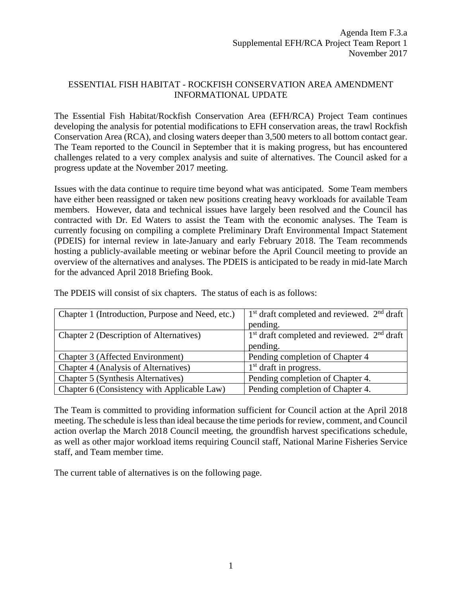## ESSENTIAL FISH HABITAT - ROCKFISH CONSERVATION AREA AMENDMENT INFORMATIONAL UPDATE

The Essential Fish Habitat/Rockfish Conservation Area (EFH/RCA) Project Team continues developing the analysis for potential modifications to EFH conservation areas, the trawl Rockfish Conservation Area (RCA), and closing waters deeper than 3,500 meters to all bottom contact gear. The Team reported to the Council in September that it is making progress, but has encountered challenges related to a very complex analysis and suite of alternatives. The Council asked for a progress update at the November 2017 meeting.

Issues with the data continue to require time beyond what was anticipated. Some Team members have either been reassigned or taken new positions creating heavy workloads for available Team members. However, data and technical issues have largely been resolved and the Council has contracted with Dr. Ed Waters to assist the Team with the economic analyses. The Team is currently focusing on compiling a complete Preliminary Draft Environmental Impact Statement (PDEIS) for internal review in late-January and early February 2018. The Team recommends hosting a publicly-available meeting or webinar before the April Council meeting to provide an overview of the alternatives and analyses. The PDEIS is anticipated to be ready in mid-late March for the advanced April 2018 Briefing Book.

| Chapter 1 (Introduction, Purpose and Need, etc.) | $1st$ draft completed and reviewed. $2nd$ draft |
|--------------------------------------------------|-------------------------------------------------|
|                                                  | pending.                                        |
| Chapter 2 (Description of Alternatives)          | $1st$ draft completed and reviewed. $2nd$ draft |
|                                                  | pending.                                        |
| Chapter 3 (Affected Environment)                 | Pending completion of Chapter 4                 |
| Chapter 4 (Analysis of Alternatives)             | $1st$ draft in progress.                        |
| Chapter 5 (Synthesis Alternatives)               | Pending completion of Chapter 4.                |
| Chapter 6 (Consistency with Applicable Law)      | Pending completion of Chapter 4.                |

The PDEIS will consist of six chapters. The status of each is as follows:

The Team is committed to providing information sufficient for Council action at the April 2018 meeting. The schedule is less than ideal because the time periods for review, comment, and Council action overlap the March 2018 Council meeting, the groundfish harvest specifications schedule, as well as other major workload items requiring Council staff, National Marine Fisheries Service staff, and Team member time.

The current table of alternatives is on the following page.